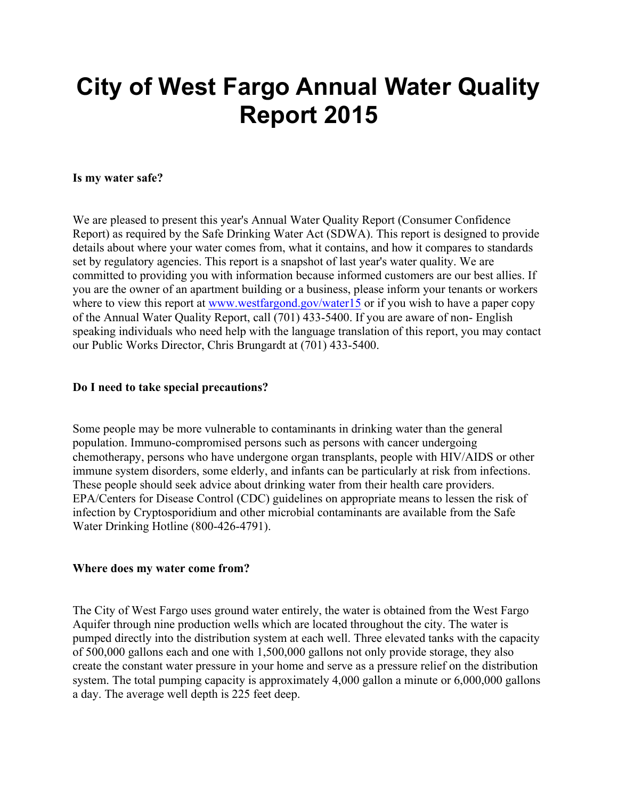# **City of West Fargo Annual Water Quality Report 2015**

## **Is my water safe?**

We are pleased to present this year's Annual Water Quality Report (Consumer Confidence Report) as required by the Safe Drinking Water Act (SDWA). This report is designed to provide details about where your water comes from, what it contains, and how it compares to standards set by regulatory agencies. This report is a snapshot of last year's water quality. We are committed to providing you with information because informed customers are our best allies. If you are the owner of an apartment building or a business, please inform your tenants or workers where to view this report at www.westfargond.gov/water15 or if you wish to have a paper copy of the Annual Water Quality Report, call (701) 433-5400. If you are aware of non-English speaking individuals who need help with the language translation of this report, you may contact our Public Works Director, Chris Brungardt at (701) 433-5400.

## **Do I need to take special precautions?**

Some people may be more vulnerable to contaminants in drinking water than the general population. Immunocompromised persons such as persons with cancer undergoing chemotherapy, persons who have undergone organ transplants, people with HIV/AIDS or other immune system disorders, some elderly, and infants can be particularly at risk from infections. These people should seek advice about drinking water from their health care providers. EPA/Centers for Disease Control (CDC) guidelines on appropriate means to lessen the risk of infection by Cryptosporidium and other microbial contaminants are available from the Safe Water Drinking Hotline (800-426-4791).

#### **Where does my water come from?**

The City of West Fargo uses ground water entirely, the water is obtained from the West Fargo Aquifer through nine production wells which are located throughout the city. The water is pumped directly into the distribution system at each well. Three elevated tanks with the capacity of 500,000 gallons each and one with 1,500,000 gallons not only provide storage, they also create the constant water pressure in your home and serve as a pressure relief on the distribution system. The total pumping capacity is approximately 4,000 gallon a minute or 6,000,000 gallons a day. The average well depth is 225 feet deep.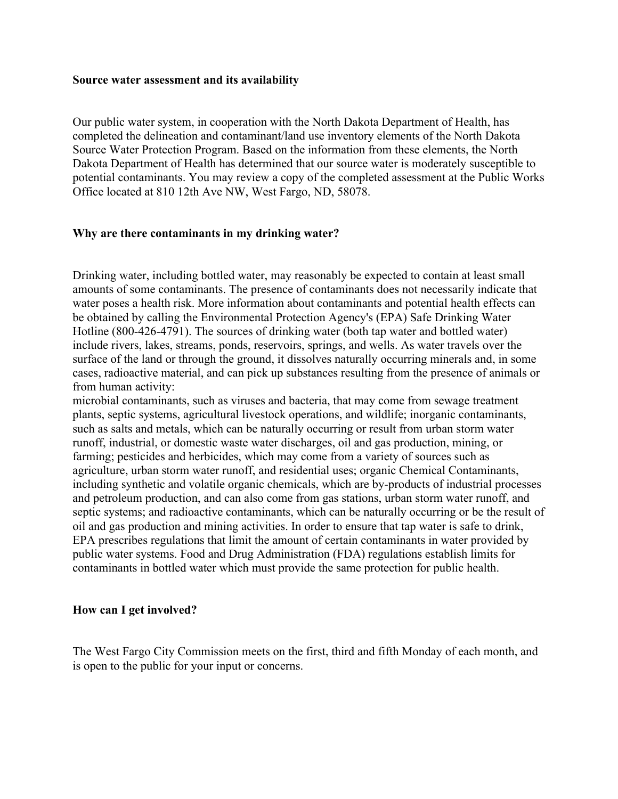#### **Source water assessment and its availability**

Our public water system, in cooperation with the North Dakota Department of Health, has completed the delineation and contaminant/land use inventory elements of the North Dakota Source Water Protection Program. Based on the information from these elements, the North Dakota Department of Health has determined that our source water is moderately susceptible to potential contaminants. You may review a copy of the completed assessment at the Public Works Office located at 810 12th Ave NW, West Fargo, ND, 58078.

## **Why are there contaminants in my drinking water?**

Drinking water, including bottled water, may reasonably be expected to contain at least small amounts of some contaminants. The presence of contaminants does not necessarily indicate that water poses a health risk. More information about contaminants and potential health effects can be obtained by calling the Environmental Protection Agency's (EPA) Safe Drinking Water Hotline (800-426-4791). The sources of drinking water (both tap water and bottled water) include rivers, lakes, streams, ponds, reservoirs, springs, and wells. As water travels over the surface of the land or through the ground, it dissolves naturally occurring minerals and, in some cases, radioactive material, and can pick up substances resulting from the presence of animals or from human activity:

microbial contaminants, such as viruses and bacteria, that may come from sewage treatment plants, septic systems, agricultural livestock operations, and wildlife; inorganic contaminants, such as salts and metals, which can be naturally occurring or result from urban storm water runoff, industrial, or domestic waste water discharges, oil and gas production, mining, or farming; pesticides and herbicides, which may come from a variety of sources such as agriculture, urban storm water runoff, and residential uses; organic Chemical Contaminants, including synthetic and volatile organic chemicals, which are by-products of industrial processes and petroleum production, and can also come from gas stations, urban storm water runoff, and septic systems; and radioactive contaminants, which can be naturally occurring or be the result of oil and gas production and mining activities. In order to ensure that tap water is safe to drink, EPA prescribes regulations that limit the amount of certain contaminants in water provided by public water systems. Food and Drug Administration (FDA) regulations establish limits for contaminants in bottled water which must provide the same protection for public health.

#### **How can I get involved?**

The West Fargo City Commission meets on the first, third and fifth Monday of each month, and is open to the public for your input or concerns.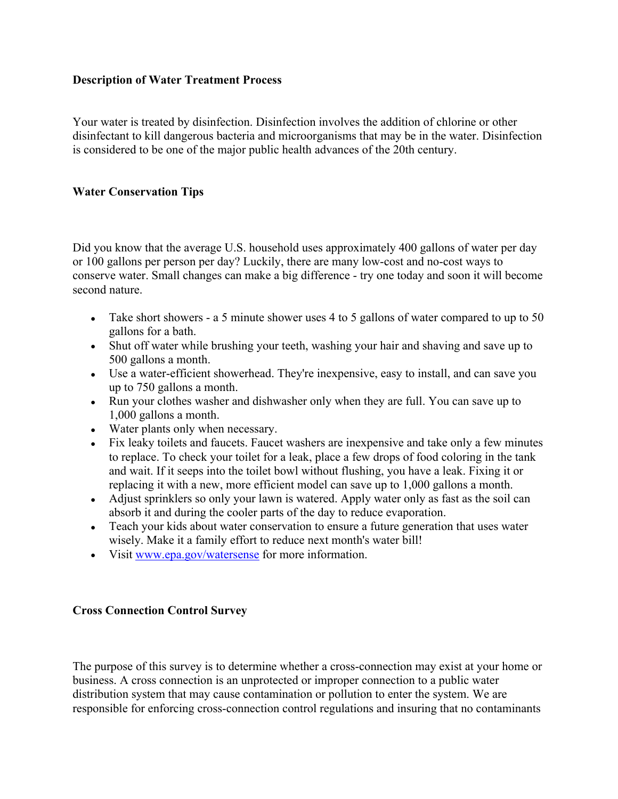# **Description of Water Treatment Process**

Your water is treated by disinfection. Disinfection involves the addition of chlorine or other disinfectant to kill dangerous bacteria and microorganisms that may be in the water. Disinfection is considered to be one of the major public health advances of the 20th century.

# **Water Conservation Tips**

Did you know that the average U.S. household uses approximately 400 gallons of water per day or 100 gallons per person per day? Luckily, there are many low-cost and no-cost ways to conserve water. Small changes can make a big difference - try one today and soon it will become second nature.

- Take short showers a 5 minute shower uses 4 to 5 gallons of water compared to up to 50 gallons for a bath.
- Shut off water while brushing your teeth, washing your hair and shaving and save up to 500 gallons a month.
- Use a water-efficient showerhead. They're inexpensive, easy to install, and can save you up to 750 gallons a month.
- Run your clothes washer and dishwasher only when they are full. You can save up to 1,000 gallons a month.
- Water plants only when necessary.
- Fix leaky toilets and faucets. Faucet washers are inexpensive and take only a few minutes to replace. To check your toilet for a leak, place a few drops of food coloring in the tank and wait. If it seeps into the toilet bowl without flushing, you have a leak. Fixing it or replacing it with a new, more efficient model can save up to 1,000 gallons a month.
- Adjust sprinklers so only your lawn is watered. Apply water only as fast as the soil can absorb it and during the cooler parts of the day to reduce evaporation.
- Teach your kids about water conservation to ensure a future generation that uses water wisely. Make it a family effort to reduce next month's water bill!
- Visit www.epa.gov/watersense for more information.

# **Cross Connection Control Survey**

The purpose of this survey is to determine whether a cross-connection may exist at your home or business. A cross connection is an unprotected or improper connection to a public water distribution system that may cause contamination or pollution to enter the system. We are responsible for enforcing cross-connection control regulations and insuring that no contaminants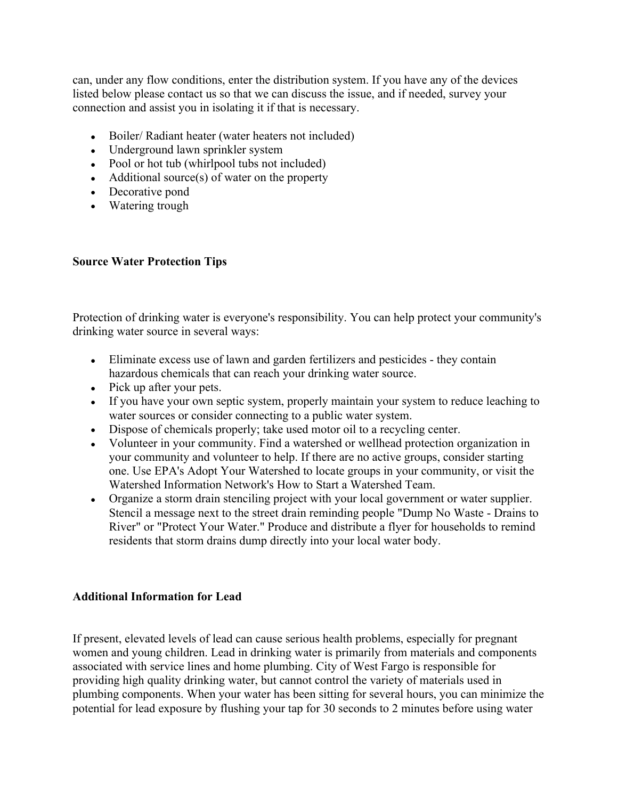can, under any flow conditions, enter the distribution system. If you have any of the devices listed below please contact us so that we can discuss the issue, and if needed, survey your connection and assist you in isolating it if that is necessary.

- Boiler/ Radiant heater (water heaters not included)
- Underground lawn sprinkler system
- Pool or hot tub (whirlpool tubs not included)
- Additional source(s) of water on the property
- Decorative pond
- Watering trough

# **Source Water Protection Tips**

Protection of drinking water is everyone's responsibility. You can help protect your community's drinking water source in several ways:

- Eliminate excess use of lawn and garden fertilizers and pesticides they contain hazardous chemicals that can reach your drinking water source.
- Pick up after your pets.
- If you have your own septic system, properly maintain your system to reduce leaching to water sources or consider connecting to a public water system.
- Dispose of chemicals properly; take used motor oil to a recycling center.
- Volunteer in your community. Find a watershed or wellhead protection organization in your community and volunteer to help. If there are no active groups, consider starting one. Use EPA's Adopt Your Watershed to locate groups in your community, or visit the Watershed Information Network's How to Start a Watershed Team.
- Organize a storm drain stenciling project with your local government or water supplier. Stencil a message next to the street drain reminding people "Dump No Waste - Drains to River" or "Protect Your Water." Produce and distribute a flyer for households to remind residents that storm drains dump directly into your local water body.

# **Additional Information for Lead**

If present, elevated levels of lead can cause serious health problems, especially for pregnant women and young children. Lead in drinking water is primarily from materials and components associated with service lines and home plumbing. City of West Fargo is responsible for providing high quality drinking water, but cannot control the variety of materials used in plumbing components. When your water has been sitting for several hours, you can minimize the potential for lead exposure by flushing your tap for 30 seconds to 2 minutes before using water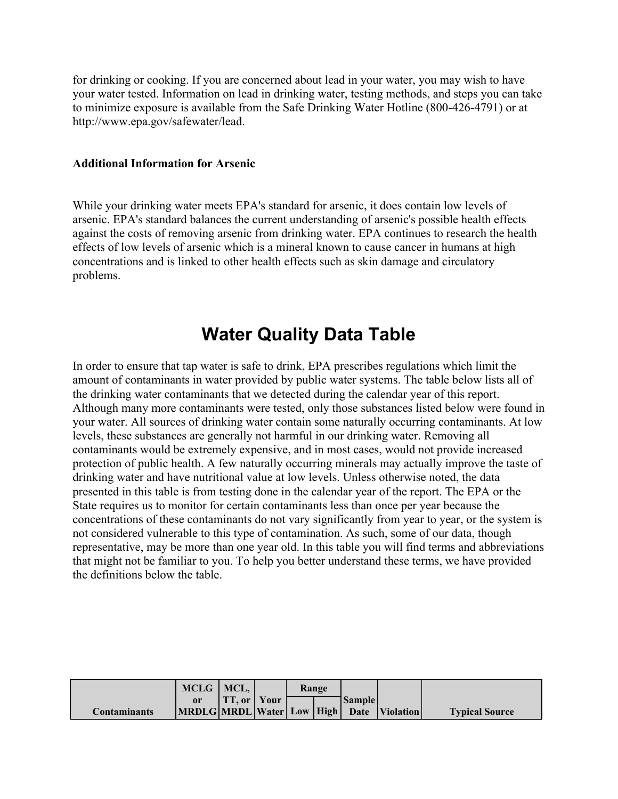for drinking or cooking. If you are concerned about lead in your water, you may wish to have your water tested. Information on lead in drinking water, testing methods, and steps you can take to minimize exposure is available from the Safe Drinking Water Hotline (800-426-4791) or at http://www.epa.gov/safewater/lead.

#### **Additional Information for Arsenic**

While your drinking water meets EPA's standard for arsenic, it does contain low levels of arsenic. EPA's standard balances the current understanding of arsenic's possible health effects against the costs of removing arsenic from drinking water. EPA continues to research the health effects of low levels of arsenic which is a mineral known to cause cancer in humans at high concentrations and is linked to other health effects such as skin damage and circulatory problems.

# **Water Quality Data Table**

In order to ensure that tap water is safe to drink, EPA prescribes regulations which limit the amount of contaminants in water provided by public water systems. The table below lists all of the drinking water contaminants that we detected during the calendar year of this report. Although many more contaminants were tested, only those substances listed below were found in your water. All sources of drinking water contain some naturally occurring contaminants. At low levels, these substances are generally not harmful in our drinking water. Removing all contaminants would be extremely expensive, and in most cases, would not provide increased protection of public health. A few naturally occurring minerals may actually improve the taste of drinking water and have nutritional value at low levels. Unless otherwise noted, the data presented in this table is from testing done in the calendar year of the report. The EPA or the State requires us to monitor for certain contaminants less than once per year because the concentrations of these contaminants do not vary significantly from year to year, or the system is not considered vulnerable to this type of contamination. As such, some of our data, though representative, may be more than one year old. In this table you will find terms and abbreviations that might not be familiar to you. To help you better understand these terms, we have provided the definitions below the table.

|                     | MCLG   MCL, |                      | Range |  |                 |                                                 |                       |
|---------------------|-------------|----------------------|-------|--|-----------------|-------------------------------------------------|-----------------------|
|                     |             | <b>TT.</b> or   Your |       |  | <b> Sample </b> |                                                 |                       |
| <b>Contaminants</b> |             |                      |       |  |                 | MRDLG MRDL Water  Low   High   Date   Violation | <b>Typical Source</b> |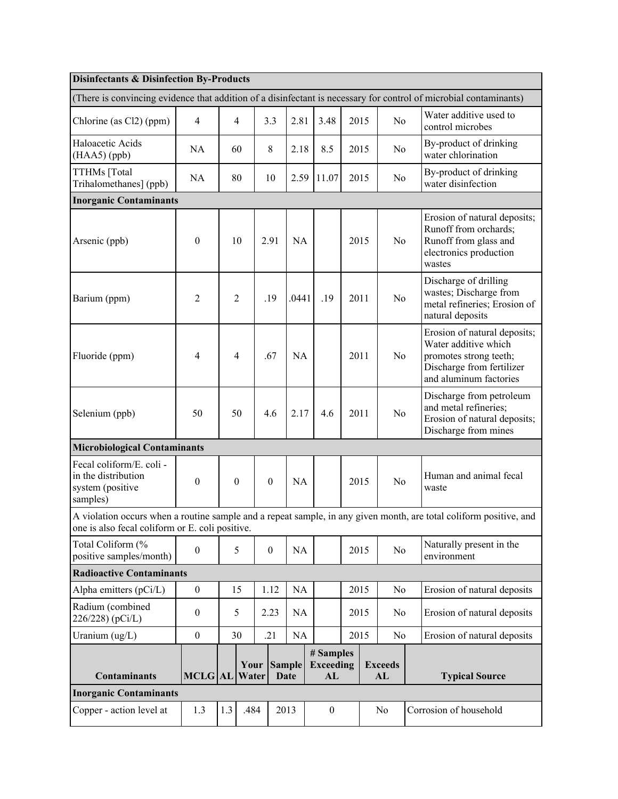| <b>Disinfectants &amp; Disinfection By-Products</b>                                                                                                                   |                  |     |                  |                  |                              |                                     |      |      |                      |                                                                                                                                       |  |
|-----------------------------------------------------------------------------------------------------------------------------------------------------------------------|------------------|-----|------------------|------------------|------------------------------|-------------------------------------|------|------|----------------------|---------------------------------------------------------------------------------------------------------------------------------------|--|
| (There is convincing evidence that addition of a disinfectant is necessary for control of microbial contaminants)                                                     |                  |     |                  |                  |                              |                                     |      |      |                      |                                                                                                                                       |  |
| Chlorine (as Cl2) (ppm)                                                                                                                                               | $\overline{4}$   |     | 4                | 3.3              | 2.81                         | 3.48                                |      | 2015 | N <sub>o</sub>       | Water additive used to<br>control microbes                                                                                            |  |
| Haloacetic Acids<br>$(HAA5)$ (ppb)                                                                                                                                    | NA               |     | 60               | 8                | 2.18                         | 8.5                                 |      | 2015 | N <sub>0</sub>       | By-product of drinking<br>water chlorination                                                                                          |  |
| TTHMs [Total<br>Trihalomethanes] (ppb)                                                                                                                                | NA               |     | 80               | 10               | 2.59                         | 11.07                               | 2015 |      | No                   | By-product of drinking<br>water disinfection                                                                                          |  |
| <b>Inorganic Contaminants</b>                                                                                                                                         |                  |     |                  |                  |                              |                                     |      |      |                      |                                                                                                                                       |  |
| Arsenic (ppb)                                                                                                                                                         | $\boldsymbol{0}$ |     | 10               | 2.91             | <b>NA</b>                    |                                     | 2015 |      | N <sub>o</sub>       | Erosion of natural deposits;<br>Runoff from orchards;<br>Runoff from glass and<br>electronics production<br>wastes                    |  |
| Barium (ppm)                                                                                                                                                          | $\overline{2}$   |     | $\overline{2}$   | .19              | .0441                        | .19                                 | 2011 |      | N <sub>o</sub>       | Discharge of drilling<br>wastes; Discharge from<br>metal refineries; Erosion of<br>natural deposits                                   |  |
| Fluoride (ppm)                                                                                                                                                        | $\overline{4}$   |     | 4                | .67              | <b>NA</b>                    |                                     | 2011 |      | N <sub>o</sub>       | Erosion of natural deposits;<br>Water additive which<br>promotes strong teeth;<br>Discharge from fertilizer<br>and aluminum factories |  |
| Selenium (ppb)                                                                                                                                                        | 50               |     | 50               | 4.6              | 2.17                         | 4.6                                 | 2011 |      | $\rm No$             | Discharge from petroleum<br>and metal refineries;<br>Erosion of natural deposits;<br>Discharge from mines                             |  |
| <b>Microbiological Contaminants</b>                                                                                                                                   |                  |     |                  |                  |                              |                                     |      |      |                      |                                                                                                                                       |  |
| Fecal coliform/E. coli -<br>in the distribution<br>system (positive<br>samples)                                                                                       | $\boldsymbol{0}$ |     | $\boldsymbol{0}$ | $\mathbf{0}$     | <b>NA</b>                    |                                     | 2015 |      | No                   | Human and animal fecal<br>waste                                                                                                       |  |
| A violation occurs when a routine sample and a repeat sample, in any given month, are total coliform positive, and<br>one is also fecal coliform or E. coli positive. |                  |     |                  |                  |                              |                                     |      |      |                      |                                                                                                                                       |  |
| Total Coliform (%<br>positive samples/month)                                                                                                                          | $\boldsymbol{0}$ |     | 5                | $\boldsymbol{0}$ | <b>NA</b>                    |                                     |      | 2015 | No                   | Naturally present in the<br>environment                                                                                               |  |
| <b>Radioactive Contaminants</b>                                                                                                                                       |                  |     |                  |                  |                              |                                     |      |      |                      |                                                                                                                                       |  |
| Alpha emitters (pCi/L)                                                                                                                                                | $\overline{0}$   |     | 15               | 1.12             | <b>NA</b>                    |                                     |      | 2015 | N <sub>o</sub>       | Erosion of natural deposits                                                                                                           |  |
| Radium (combined<br>226/228) (pCi/L)                                                                                                                                  | $\mathbf{0}$     |     | 5                | 2.23             | NA                           |                                     | 2015 |      | N <sub>0</sub>       | Erosion of natural deposits                                                                                                           |  |
| Uranium (ug/L)                                                                                                                                                        | $\mathbf{0}$     |     | 30               | .21              | <b>NA</b>                    |                                     |      | 2015 | No                   | Erosion of natural deposits                                                                                                           |  |
| <b>Contaminants</b>                                                                                                                                                   | MCLG AL          |     | Your<br>Water    |                  | <b>Sample</b><br><b>Date</b> | # Samples<br><b>Exceeding</b><br>AL |      |      | <b>Exceeds</b><br>AL | <b>Typical Source</b>                                                                                                                 |  |
| <b>Inorganic Contaminants</b>                                                                                                                                         |                  |     |                  |                  |                              |                                     |      |      |                      |                                                                                                                                       |  |
| Copper - action level at                                                                                                                                              | 1.3              | 1.3 | .484             |                  | 2013                         | $\boldsymbol{0}$                    |      |      | No                   | Corrosion of household                                                                                                                |  |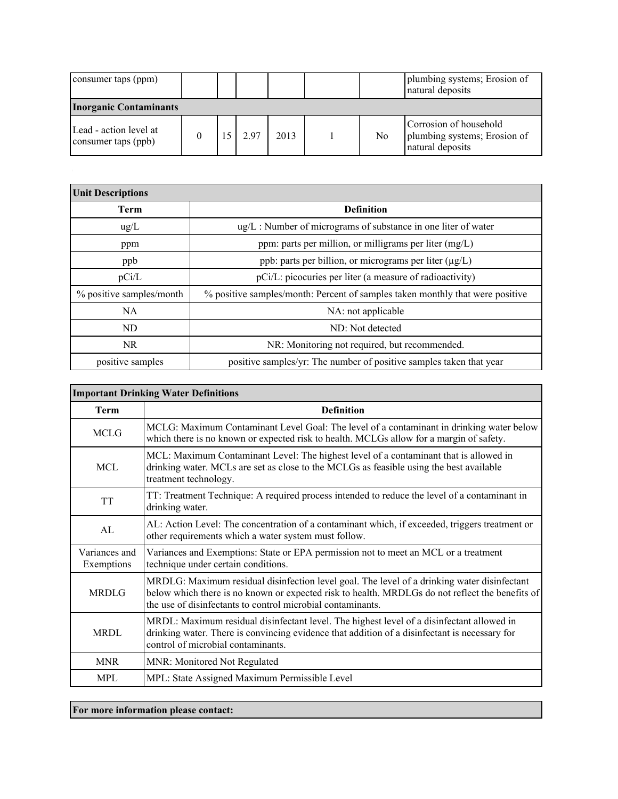| consumer taps (ppm)                           |  |      |      |    | plumbing systems; Erosion of<br>natural deposits                           |
|-----------------------------------------------|--|------|------|----|----------------------------------------------------------------------------|
| <b>Inorganic Contaminants</b>                 |  |      |      |    |                                                                            |
| Lead - action level at<br>consumer taps (ppb) |  | 2.97 | 2013 | No | Corrosion of household<br>plumbing systems; Erosion of<br>natural deposits |

| <b>Unit Descriptions</b> |                                                                               |  |  |  |  |
|--------------------------|-------------------------------------------------------------------------------|--|--|--|--|
| Term                     | <b>Definition</b>                                                             |  |  |  |  |
| $\mu$ g/L                | $\mu$ g/L : Number of micrograms of substance in one liter of water           |  |  |  |  |
| ppm                      | ppm: parts per million, or milligrams per liter $(mg/L)$                      |  |  |  |  |
| ppb                      | ppb: parts per billion, or micrograms per liter $(\mu g/L)$                   |  |  |  |  |
| pCi/L                    | pCi/L: picocuries per liter (a measure of radioactivity)                      |  |  |  |  |
| % positive samples/month | % positive samples/month: Percent of samples taken monthly that were positive |  |  |  |  |
| NA.                      | NA: not applicable                                                            |  |  |  |  |
| ND                       | ND: Not detected                                                              |  |  |  |  |
| NR.                      | NR: Monitoring not required, but recommended.                                 |  |  |  |  |
| positive samples         | positive samples/yr: The number of positive samples taken that year           |  |  |  |  |

| <b>Important Drinking Water Definitions</b> |                                                                                                                                                                                                                                                               |  |  |
|---------------------------------------------|---------------------------------------------------------------------------------------------------------------------------------------------------------------------------------------------------------------------------------------------------------------|--|--|
| Term                                        | <b>Definition</b>                                                                                                                                                                                                                                             |  |  |
| <b>MCLG</b>                                 | MCLG: Maximum Contaminant Level Goal: The level of a contaminant in drinking water below<br>which there is no known or expected risk to health. MCLGs allow for a margin of safety.                                                                           |  |  |
| MCL.                                        | MCL: Maximum Contaminant Level: The highest level of a contaminant that is allowed in<br>drinking water. MCLs are set as close to the MCLGs as feasible using the best available<br>treatment technology.                                                     |  |  |
| TT                                          | TT: Treatment Technique: A required process intended to reduce the level of a contaminant in<br>drinking water.                                                                                                                                               |  |  |
| AL                                          | AL: Action Level: The concentration of a contaminant which, if exceeded, triggers treatment or<br>other requirements which a water system must follow.                                                                                                        |  |  |
| Variances and<br>Exemptions                 | Variances and Exemptions: State or EPA permission not to meet an MCL or a treatment<br>technique under certain conditions.                                                                                                                                    |  |  |
| <b>MRDLG</b>                                | MRDLG: Maximum residual disinfection level goal. The level of a drinking water disinfectant<br>below which there is no known or expected risk to health. MRDLGs do not reflect the benefits of<br>the use of disinfectants to control microbial contaminants. |  |  |
| <b>MRDL</b>                                 | MRDL: Maximum residual disinfectant level. The highest level of a disinfectant allowed in<br>drinking water. There is convincing evidence that addition of a disinfectant is necessary for<br>control of microbial contaminants.                              |  |  |
| <b>MNR</b>                                  | MNR: Monitored Not Regulated                                                                                                                                                                                                                                  |  |  |
| <b>MPL</b>                                  | MPL: State Assigned Maximum Permissible Level                                                                                                                                                                                                                 |  |  |

**For more information please contact:**